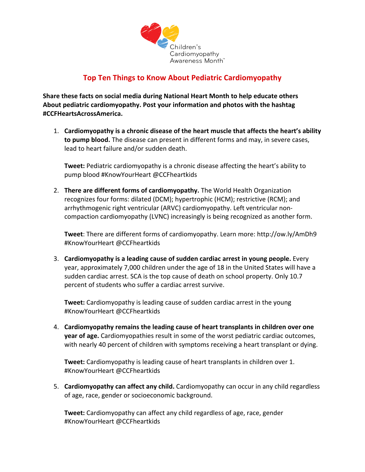

## **Top Ten Things to Know About Pediatric Cardiomyopathy**

**Share these facts on social media during National Heart Month to help educate others About pediatric cardiomyopathy. Post your information and photos with the hashtag #CCFHeartsAcrossAmerica.**

1. **Cardiomyopathy is a chronic disease of the heart muscle that affects the heart's ability to pump blood.** The disease can present in different forms and may, in severe cases, lead to heart failure and/or sudden death.

**Tweet:** Pediatric cardiomyopathy is a chronic disease affecting the heart's ability to pump blood #KnowYourHeart @CCFheartkids

2. **There are different forms of cardiomyopathy.** The World Health Organization recognizes four forms: dilated (DCM); hypertrophic (HCM); restrictive (RCM); and arrhythmogenic right ventricular (ARVC) cardiomyopathy. Left ventricular noncompaction cardiomyopathy (LVNC) increasingly is being recognized as another form.

**Tweet**: There are different forms of cardiomyopathy. Learn more: http://ow.ly/AmDh9 #KnowYourHeart @CCFheartkids

3. **Cardiomyopathy is a leading cause of sudden cardiac arrest in young people.** Every year, approximately 7,000 children under the age of 18 in the United States will have a sudden cardiac arrest. SCA is the top cause of death on school property. Only 10.7 percent of students who suffer a cardiac arrest survive.

**Tweet:** Cardiomyopathy is leading cause of sudden cardiac arrest in the young #KnowYourHeart @CCFheartkids

4. **Cardiomyopathy remains the leading cause of heart transplants in children over one year of age.** Cardiomyopathies result in some of the worst pediatric cardiac outcomes, with nearly 40 percent of children with symptoms receiving a heart transplant or dying.

**Tweet:** Cardiomyopathy is leading cause of heart transplants in children over 1. #KnowYourHeart @CCFheartkids

5. **Cardiomyopathy can affect any child.** Cardiomyopathy can occur in any child regardless of age, race, gender or socioeconomic background.

**Tweet:** Cardiomyopathy can affect any child regardless of age, race, gender #KnowYourHeart @CCFheartkids